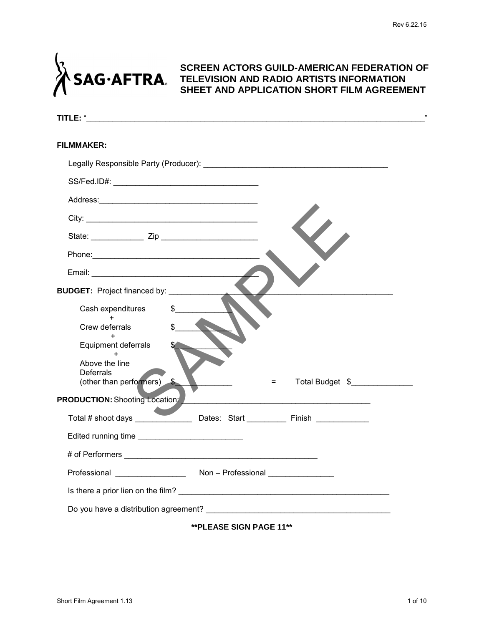

# **SCREEN ACTORS GUILD-AMERICAN FEDERATION OF TELEVISION AND RADIO ARTISTS INFORMATION SHEET AND APPLICATION SHORT FILM AGREEMENT**

| TITLE: "                                                         | ,,              |
|------------------------------------------------------------------|-----------------|
| <b>FILMMAKER:</b>                                                |                 |
|                                                                  |                 |
|                                                                  |                 |
|                                                                  |                 |
|                                                                  |                 |
|                                                                  |                 |
|                                                                  |                 |
|                                                                  |                 |
| <b>BUDGET:</b> Project financed by: __________                   |                 |
| Cash expenditures                                                |                 |
| $+$<br>Crew deferrals                                            |                 |
| Equipment deferrals                                              |                 |
| Above the line<br><b>Deferrals</b><br>(other than performers) \$ | Total Budget \$ |
| <b>PRODUCTION: Shooting Location:</b>                            |                 |
| Total # shoot days ______________<br>Dates: Start Finish         |                 |
| Edited running time                                              |                 |
|                                                                  |                 |
| Professional _________________<br>Non - Professional             |                 |
|                                                                  |                 |
|                                                                  |                 |
| <b>**PLEASE SIGN PAGE 11**</b>                                   |                 |
|                                                                  |                 |
|                                                                  |                 |
|                                                                  |                 |
| Short Film Agreement 1.13                                        | 1 of 10         |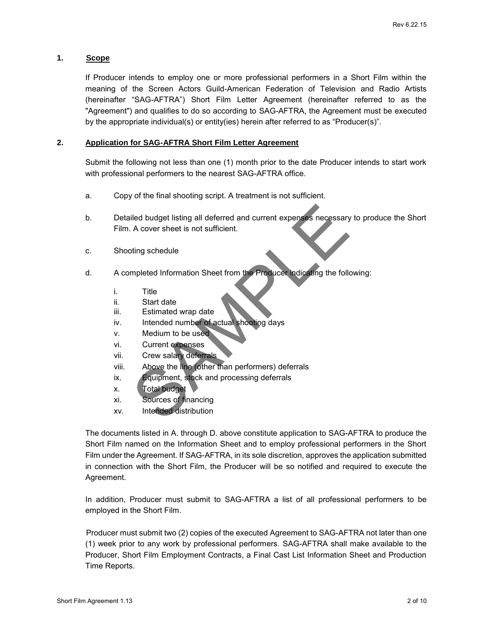# **1. Scope**

If Producer intends to employ one or more professional performers in a Short Film within the meaning of the Screen Actors Guild-American Federation of Television and Radio Artists (hereinafter "SAG-AFTRA") Short Film Letter Agreement (hereinafter referred to as the "Agreement") and qualifies to do so according to SAG-AFTRA, the Agreement must be executed by the appropriate individual(s) or entity(ies) herein after referred to as "Producer(s)".

# **2. Application for SAG-AFTRA Short Film Letter Agreement**

Submit the following not less than one (1) month prior to the date Producer intends to start work with professional performers to the nearest SAG-AFTRA office.

- a. Copy of the final shooting script. A treatment is not sufficient.
- b. Detailed budget listing all deferred and current expenses necessary to produce the Short Film. A cover sheet is not sufficient.
- c. Shooting schedule
- d. A completed Information Sheet from the Producer indicating the following:
	- i. Title
	- ii. Start date
	- iii. Estimated wrap date
	- iv. Intended number of actual shooting days
	- v. Medium to be used
	- vi. Current expenses
	- vii. Crew salary deferrals
	- viii. Above the line (other than performers) deferrals
	- ix. Equipment, stock and processing deferrals
	- x. Total budget
	- xi. Sources of financing
	- xv. Intended distribution

The documents listed in A. through D. above constitute application to SAG-AFTRA to produce the Short Film named on the Information Sheet and to employ professional performers in the Short Film under the Agreement. If SAG-AFTRA, in its sole discretion, approves the application submitted in connection with the Short Film, the Producer will be so notified and required to execute the Agreement. Short Film Agreement Short Film the Short Film Agreement 1.13<br>
Short Film A cover sheet is not sufficient.<br>
C. Shorting schedule<br>
A. completed Information Sheet from the Produces Including the following:<br>
The Start date<br>
I

In addition, Producer must submit to SAG-AFTRA a list of all professional performers to be employed in the Short Film.

 Producer must submit two (2) copies of the executed Agreement to SAG-AFTRA not later than one (1) week prior to any work by professional performers. SAG-AFTRA shall make available to the Producer, Short Film Employment Contracts, a Final Cast List Information Sheet and Production Time Reports.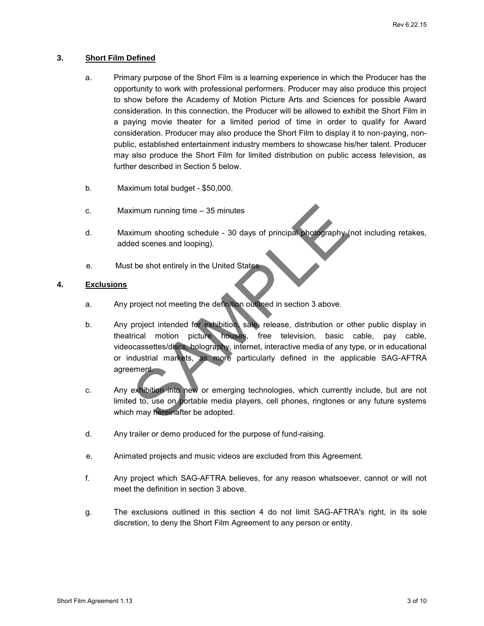### **3. Short Film Defined**

- a. Primary purpose of the Short Film is a learning experience in which the Producer has the opportunity to work with professional performers. Producer may also produce this project to show before the Academy of Motion Picture Arts and Sciences for possible Award consideration. In this connection, the Producer will be allowed to exhibit the Short Film in a paying movie theater for a limited period of time in order to qualify for Award consideration. Producer may also produce the Short Film to display it to non-paying, nonpublic, established entertainment industry members to showcase his/her talent. Producer may also produce the Short Film for limited distribution on public access television, as further described in Section 5 below.
- b. Maximum total budget \$50,000.
- c. Maximum running time 35 minutes
- d. Maximum shooting schedule 30 days of principal photography (not including retakes, added scenes and looping).
- e. Must be shot entirely in the United States.

# **4. Exclusions**

- a. Any project not meeting the definition outlined in section 3 above.
- b. Any project intended for exhibition, sale, release, distribution or other public display in theatrical motion picture houses, free television, basic cable, pay cable, videocassettes/discs, holography, internet, interactive media of any type, or in educational or industrial markets, as more particularly defined in the applicable SAG-AFTRA agreement. C. Maximum running time – 35 minutes<br>
Short Film Agreement 1.13<br>
Short Film Agreement 1.13<br>
Short Film Agreement 1.13<br>
Short Film Agreement 1.13<br>
Short Film Agreement 1.13<br>
Short Film Agreement 1.13<br>
Short Film Agreement 1
	- c. Any exhibition into new or emerging technologies, which currently include, but are not limited to, use on portable media players, cell phones, ringtones or any future systems which may hereinafter be adopted.
	- d. Any trailer or demo produced for the purpose of fund-raising.
	- e. Animated projects and music videos are excluded from this Agreement.
	- f. Any project which SAG-AFTRA believes, for any reason whatsoever, cannot or will not meet the definition in section 3 above.
	- g. The exclusions outlined in this section 4 do not limit SAG-AFTRA's right, in its sole discretion, to deny the Short Film Agreement to any person or entity.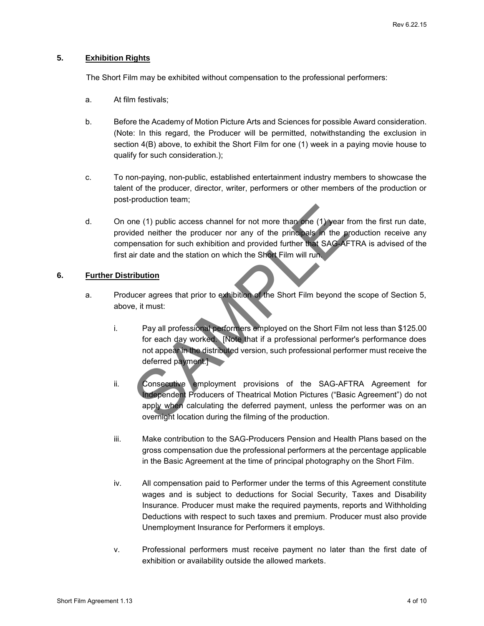# **5. Exhibition Rights**

The Short Film may be exhibited without compensation to the professional performers:

- a. At film festivals;
- b. Before the Academy of Motion Picture Arts and Sciences for possible Award consideration. (Note: In this regard, the Producer will be permitted, notwithstanding the exclusion in section 4(B) above, to exhibit the Short Film for one (1) week in a paying movie house to qualify for such consideration.);
- c. To non-paying, non-public, established entertainment industry members to showcase the talent of the producer, director, writer, performers or other members of the production or post-production team;
- d. On one (1) public access channel for not more than one (1) year from the first run date, provided neither the producer nor any of the principals in the production receive any compensation for such exhibition and provided further that SAG-AFTRA is advised of the first air date and the station on which the Short Film will run.

#### **6. Further Distribution**

- a. Producer agrees that prior to exhibition of the Short Film beyond the scope of Section 5, above, it must:
	- i. Pay all professional performers employed on the Short Film not less than \$125.00 for each day worked. [Note that if a professional performer's performance does not appear in the distributed version, such professional performer must receive the deferred payment.]
	- ii. Consecutive employment provisions of the SAG-AFTRA Agreement for Independent Producers of Theatrical Motion Pictures ("Basic Agreement") do not apply when calculating the deferred payment, unless the performer was on an overnight location during the filming of the production.
	- iii. Make contribution to the SAG-Producers Pension and Health Plans based on the gross compensation due the professional performers at the percentage applicable in the Basic Agreement at the time of principal photography on the Short Film.
- iv. All compensation paid to Performer under the terms of this Agreement constitute wages and is subject to deductions for Social Security, Taxes and Disability Insurance. Producer must make the required payments, reports and Withholding Deductions with respect to such taxes and premium. Producer must also provide Unemployment Insurance for Performers it employs. d. On one (1) public access channel for not more than the (1) year from the first run date,<br>provided neither the producer nor any of the principals. The production receive any<br>compensation for such exhibition and provided
	- v. Professional performers must receive payment no later than the first date of exhibition or availability outside the allowed markets.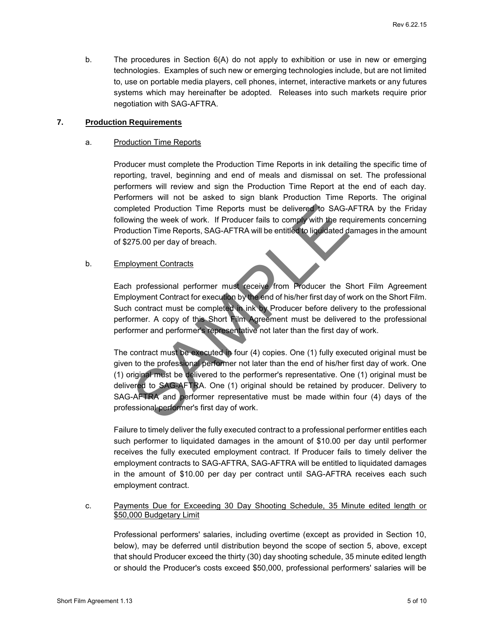b. The procedures in Section 6(A) do not apply to exhibition or use in new or emerging technologies. Examples of such new or emerging technologies include, but are not limited to, use on portable media players, cell phones, internet, interactive markets or any futures systems which may hereinafter be adopted. Releases into such markets require prior negotiation with SAG-AFTRA.

# **7. Production Requirements**

#### a. Production Time Reports

Producer must complete the Production Time Reports in ink detailing the specific time of reporting, travel, beginning and end of meals and dismissal on set. The professional performers will review and sign the Production Time Report at the end of each day. Performers will not be asked to sign blank Production Time Reports. The original completed Production Time Reports must be delivered to SAG-AFTRA by the Friday following the week of work. If Producer fails to comply with the requirements concerning Production Time Reports, SAG-AFTRA will be entitled to liquidated damages in the amount of \$275.00 per day of breach.

#### b. Employment Contracts

Each professional performer must receive from Producer the Short Film Agreement Employment Contract for execution by the end of his/her first day of work on the Short Film. Such contract must be completed in ink by Producer before delivery to the professional performer. A copy of this Short Film Agreement must be delivered to the professional performer and performer's representative not later than the first day of work.

The contract must be executed in four (4) copies. One (1) fully executed original must be given to the professional performer not later than the end of his/her first day of work. One (1) original must be delivered to the performer's representative. One (1) original must be delivered to SAG-AFTRA. One (1) original should be retained by producer. Delivery to SAG-AFTRA and performer representative must be made within four (4) days of the professional performer's first day of work. completed Protocolon Time Reports must be delivered to SAG-AFTRA by the Friday<br>Short Film Agreement 1.5<br>Social persons and persons and the state of the state of the film Agreement Production Time Reports. SAG-AFTRA will be

Failure to timely deliver the fully executed contract to a professional performer entitles each such performer to liquidated damages in the amount of \$10.00 per day until performer receives the fully executed employment contract. If Producer fails to timely deliver the employment contracts to SAG-AFTRA, SAG-AFTRA will be entitled to liquidated damages in the amount of \$10.00 per day per contract until SAG-AFTRA receives each such employment contract.

#### c. Payments Due for Exceeding 30 Day Shooting Schedule, 35 Minute edited length or \$50,000 Budgetary Limit

Professional performers' salaries, including overtime (except as provided in Section 10, below), may be deferred until distribution beyond the scope of section 5, above, except that should Producer exceed the thirty (30) day shooting schedule, 35 minute edited length or should the Producer's costs exceed \$50,000, professional performers' salaries will be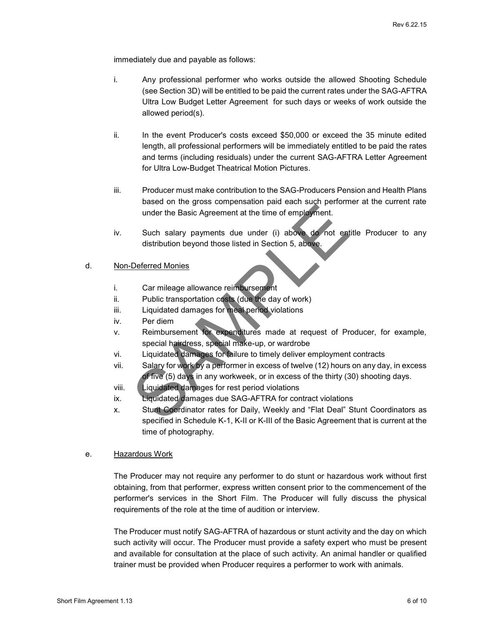immediately due and payable as follows:

- i. Any professional performer who works outside the allowed Shooting Schedule (see Section 3D) will be entitled to be paid the current rates under the SAG-AFTRA Ultra Low Budget Letter Agreement for such days or weeks of work outside the allowed period(s).
- ii. In the event Producer's costs exceed \$50,000 or exceed the 35 minute edited length, all professional performers will be immediately entitled to be paid the rates and terms (including residuals) under the current SAG-AFTRA Letter Agreement for Ultra Low-Budget Theatrical Motion Pictures.
- iii. Producer must make contribution to the SAG-Producers Pension and Health Plans based on the gross compensation paid each such performer at the current rate under the Basic Agreement at the time of employment.
- iv. Such salary payments due under (i) above do not entitle Producer to any distribution beyond those listed in Section 5, above.

#### d. Non-Deferred Monies

- i. Car mileage allowance reimbursement
- ii. Public transportation costs (due the day of work)
- iii. Liquidated damages for meal period violations
- iv. Per diem
- v. Reimbursement for expenditures made at request of Producer, for example, special hairdress, special make-up, or wardrobe
- vi. Liquidated damages for failure to timely deliver employment contracts
- vii. Salary for work by a performer in excess of twelve (12) hours on any day, in excess of five (5) days in any workweek, or in excess of the thirty (30) shooting days.
- viii. Liquidated damages for rest period violations
- ix. Liquidated damages due SAG-AFTRA for contract violations
- x. Stunt Coordinator rates for Daily, Weekly and "Flat Deal" Stunt Coordinators as specified in Schedule K-1, K-II or K-III of the Basic Agreement that is current at the time of photography.

#### e. Hazardous Work

The Producer may not require any performer to do stunt or hazardous work without first obtaining, from that performer, express written consent prior to the commencement of the performer's services in the Short Film. The Producer will fully discuss the physical requirements of the role at the time of audition or interview. short Film Agreement at the time of employment the branch of the place of the state Agreement at the time of employment.<br>
Short Film Agreement at the time of employment the Broadcast of the Sale Agreement at the time of t

The Producer must notify SAG-AFTRA of hazardous or stunt activity and the day on which such activity will occur. The Producer must provide a safety expert who must be present and available for consultation at the place of such activity. An animal handler or qualified trainer must be provided when Producer requires a performer to work with animals.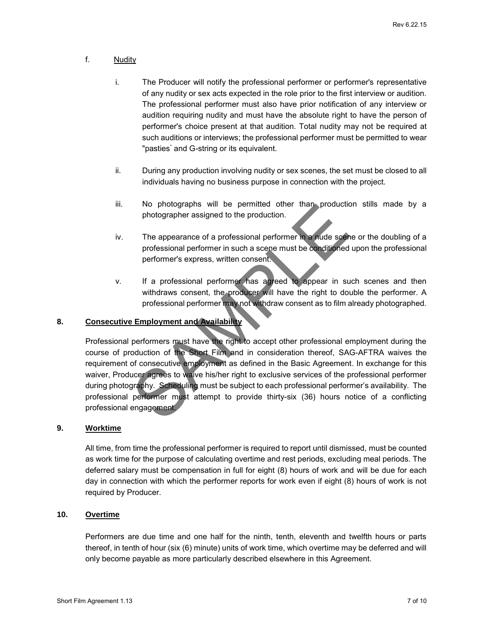# f. Nudity

- i. The Producer will notify the professional performer or performer's representative of any nudity or sex acts expected in the role prior to the first interview or audition. The professional performer must also have prior notification of any interview or audition requiring nudity and must have the absolute right to have the person of performer's choice present at that audition. Total nudity may not be required at such auditions or interviews; the professional performer must be permitted to wear "pasties" and G-string or its equivalent.
- ii. During any production involving nudity or sex scenes, the set must be closed to all individuals having no business purpose in connection with the project.
- iii. No photographs will be permitted other than production stills made by a photographer assigned to the production.
- iv. The appearance of a professional performer in a nude scene or the doubling of a professional performer in such a scene must be conditioned upon the professional performer's express, written consent.
- v. If a professional performer has agreed to appear in such scenes and then withdraws consent, the producer will have the right to double the performer. A professional performer may not withdraw consent as to film already photographed.

# **8. Consecutive Employment and Availability**

Professional performers must have the right to accept other professional employment during the course of production of the Short Film and in consideration thereof, SAG-AFTRA waives the requirement of consecutive employment as defined in the Basic Agreement. In exchange for this waiver, Producer agrees to waive his/her right to exclusive services of the professional performer during photography. Scheduling must be subject to each professional performer's availability. The professional performer must attempt to provide thirty-six (36) hours notice of a conflicting professional engagement. The approach of the processional performer in the permutine order that is a species of the doubling of a<br>photospapher assigned to the production.<br>The appearance of a professional performer in a score must be conditioned up

#### **9. Worktime**

All time, from time the professional performer is required to report until dismissed, must be counted as work time for the purpose of calculating overtime and rest periods, excluding meal periods. The deferred salary must be compensation in full for eight (8) hours of work and will be due for each day in connection with which the performer reports for work even if eight (8) hours of work is not required by Producer.

# **10. Overtime**

Performers are due time and one half for the ninth, tenth, eleventh and twelfth hours or parts thereof, in tenth of hour (six (6) minute) units of work time, which overtime may be deferred and will only become payable as more particularly described elsewhere in this Agreement.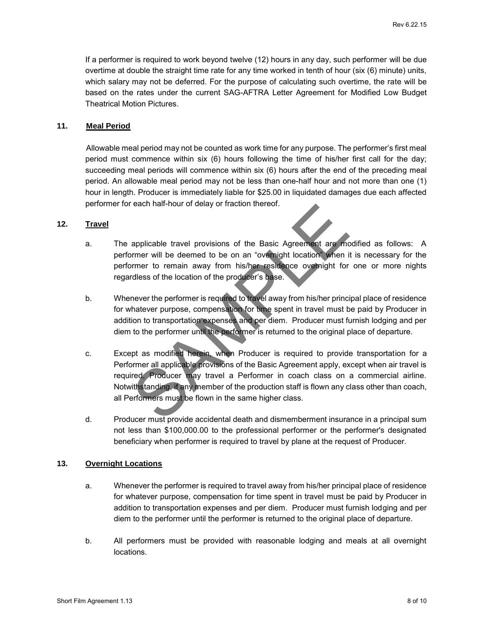If a performer is required to work beyond twelve (12) hours in any day, such performer will be due overtime at double the straight time rate for any time worked in tenth of hour (six (6) minute) units, which salary may not be deferred. For the purpose of calculating such overtime, the rate will be based on the rates under the current SAG-AFTRA Letter Agreement for Modified Low Budget Theatrical Motion Pictures.

# **11. Meal Period**

Allowable meal period may not be counted as work time for any purpose. The performer's first meal period must commence within six (6) hours following the time of his/her first call for the day; succeeding meal periods will commence within six (6) hours after the end of the preceding meal period. An allowable meal period may not be less than one-half hour and not more than one (1) hour in length. Producer is immediately liable for \$25.00 in liquidated damages due each affected performer for each half-hour of delay or fraction thereof.

#### **12. Travel**

- a. The applicable travel provisions of the Basic Agreement are modified as follows: A performer will be deemed to be on an "overnight location" when it is necessary for the performer to remain away from his/her residence overnight for one or more nights regardless of the location of the producer's base.
- b. Whenever the performer is required to travel away from his/her principal place of residence for whatever purpose, compensation for time spent in travel must be paid by Producer in addition to transportation expenses and per diem. Producer must furnish lodging and per diem to the performer until the performer is returned to the original place of departure.
- c. Except as modified herein, when Producer is required to provide transportation for a Performer all applicable provisions of the Basic Agreement apply, except when air travel is required, Producer may travel a Performer in coach class on a commercial airline. Notwithstanding, if any member of the production staff is flown any class other than coach, all Performers must be flown in the same higher class. Short Film Agreement The the method of the Basic Agreement and Amolfied as follows: A performer will be deemed to be on an "owemisht tocation" with it is necessary for the performer to termin away month the production of t
	- d. Producer must provide accidental death and dismemberment insurance in a principal sum not less than \$100,000.00 to the professional performer or the performer's designated beneficiary when performer is required to travel by plane at the request of Producer.

#### **13. Overnight Locations**

- a. Whenever the performer is required to travel away from his/her principal place of residence for whatever purpose, compensation for time spent in travel must be paid by Producer in addition to transportation expenses and per diem. Producer must furnish lodging and per diem to the performer until the performer is returned to the original place of departure.
- b. All performers must be provided with reasonable lodging and meals at all overnight locations.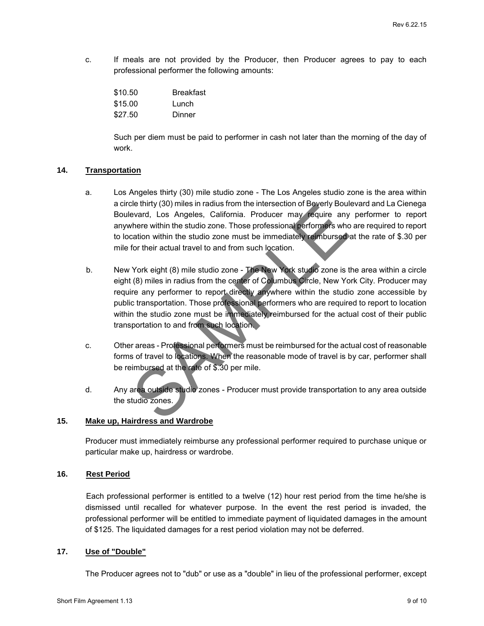c. If meals are not provided by the Producer, then Producer agrees to pay to each professional performer the following amounts:

| \$10.50 | <b>Breakfast</b> |
|---------|------------------|
| \$15.00 | Lunch            |
| \$27.50 | Dinner           |

Such per diem must be paid to performer in cash not later than the morning of the day of work.

#### **14. Transportation**

- a. Los Angeles thirty (30) mile studio zone The Los Angeles studio zone is the area within a circle thirty (30) miles in radius from the intersection of Beverly Boulevard and La Cienega Boulevard, Los Angeles, California. Producer may require any performer to report anywhere within the studio zone. Those professional performers who are required to report to location within the studio zone must be immediately reimbursed at the rate of \$.30 per mile for their actual travel to and from such location.
- b. New York eight (8) mile studio zone The New York studio zone is the area within a circle eight (8) miles in radius from the center of Columbus Circle, New York City. Producer may require any performer to report directly anywhere within the studio zone accessible by public transportation. Those professional performers who are required to report to location within the studio zone must be immediately reimbursed for the actual cost of their public transportation to and from such location. shorter within the studio cone. These professional performers who are required to the endot of the cone of the cone of the cone of the cone of the studio cone. This performe the report of location who are professional perf
	- c. Other areas Professional performers must be reimbursed for the actual cost of reasonable forms of travel to locations. When the reasonable mode of travel is by car, performer shall be reimbursed at the rate of \$.30 per mile.
	- d. Any area outside studio zones Producer must provide transportation to any area outside the studio zones.

# **15. Make up, Hairdress and Wardrobe**

Producer must immediately reimburse any professional performer required to purchase unique or particular make up, hairdress or wardrobe.

#### **16. Rest Period**

 Each professional performer is entitled to a twelve (12) hour rest period from the time he/she is dismissed until recalled for whatever purpose. In the event the rest period is invaded, the professional performer will be entitled to immediate payment of liquidated damages in the amount of \$125. The liquidated damages for a rest period violation may not be deferred.

#### **17. Use of "Double"**

The Producer agrees not to "dub" or use as a "double" in lieu of the professional performer, except